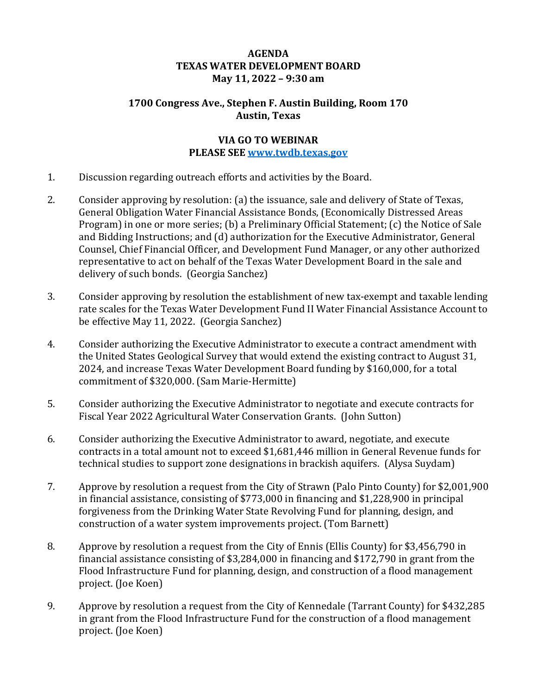## **AGENDA TEXAS WATER DEVELOPMENT BOARD May 11, 2022 – 9:30 am**

## **1700 Congress Ave., Stephen F. Austin Building, Room 170 Austin, Texas**

#### **VIA GO TO WEBINAR PLEASE SEE [www.twdb.texas.gov](http://www.twdb.texas.gov/)**

- 1. Discussion regarding outreach efforts and activities by the Board.
- 2. Consider approving by resolution: (a) the issuance, sale and delivery of State of Texas, General Obligation Water Financial Assistance Bonds, (Economically Distressed Areas Program) in one or more series; (b) a Preliminary Official Statement; (c) the Notice of Sale and Bidding Instructions; and (d) authorization for the Executive Administrator, General Counsel, Chief Financial Officer, and Development Fund Manager, or any other authorized representative to act on behalf of the Texas Water Development Board in the sale and delivery of such bonds. (Georgia Sanchez)
- 3. Consider approving by resolution the establishment of new tax-exempt and taxable lending rate scales for the Texas Water Development Fund II Water Financial Assistance Account to be effective May 11, 2022. (Georgia Sanchez)
- 4. Consider authorizing the Executive Administrator to execute a contract amendment with the United States Geological Survey that would extend the existing contract to August 31, 2024, and increase Texas Water Development Board funding by \$160,000, for a total commitment of \$320,000. (Sam Marie-Hermitte)
- 5. Consider authorizing the Executive Administrator to negotiate and execute contracts for Fiscal Year 2022 Agricultural Water Conservation Grants. (John Sutton)
- 6. Consider authorizing the Executive Administrator to award, negotiate, and execute contracts in a total amount not to exceed \$1,681,446 million in General Revenue funds for technical studies to support zone designations in brackish aquifers. (Alysa Suydam)
- 7. Approve by resolution a request from the City of Strawn (Palo Pinto County) for \$2,001,900 in financial assistance, consisting of \$773,000 in financing and \$1,228,900 in principal forgiveness from the Drinking Water State Revolving Fund for planning, design, and construction of a water system improvements project. (Tom Barnett)
- 8. Approve by resolution a request from the City of Ennis (Ellis County) for \$3,456,790 in financial assistance consisting of \$3,284,000 in financing and \$172,790 in grant from the Flood Infrastructure Fund for planning, design, and construction of a flood management project. (Joe Koen)
- 9. Approve by resolution a request from the City of Kennedale (Tarrant County) for \$432,285 in grant from the Flood Infrastructure Fund for the construction of a flood management project. (Joe Koen)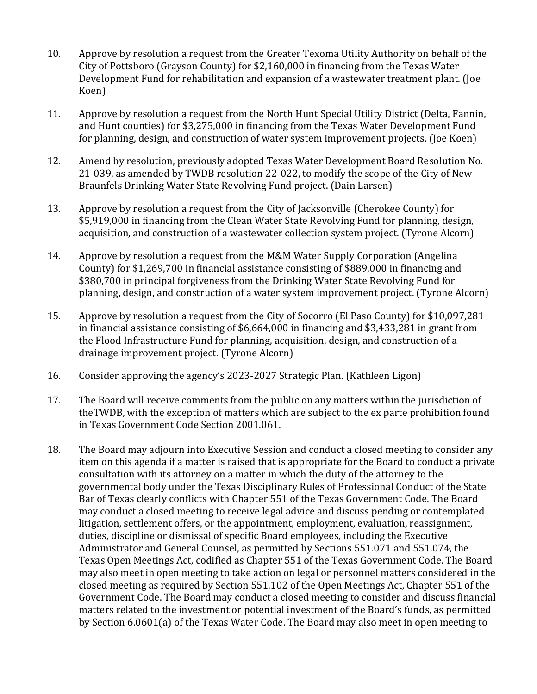- 10. Approve by resolution a request from the Greater Texoma Utility Authority on behalf of the City of Pottsboro (Grayson County) for \$2,160,000 in financing from the Texas Water Development Fund for rehabilitation and expansion of a wastewater treatment plant. (Joe Koen)
- 11. Approve by resolution a request from the North Hunt Special Utility District (Delta, Fannin, and Hunt counties) for \$3,275,000 in financing from the Texas Water Development Fund for planning, design, and construction of water system improvement projects. (Joe Koen)
- 12. Amend by resolution, previously adopted Texas Water Development Board Resolution No. 21-039, as amended by TWDB resolution 22-022, to modify the scope of the City of New Braunfels Drinking Water State Revolving Fund project. (Dain Larsen)
- 13. Approve by resolution a request from the City of Jacksonville (Cherokee County) for \$5,919,000 in financing from the Clean Water State Revolving Fund for planning, design, acquisition, and construction of a wastewater collection system project. (Tyrone Alcorn)
- 14. Approve by resolution a request from the M&M Water Supply Corporation (Angelina County) for \$1,269,700 in financial assistance consisting of \$889,000 in financing and \$380,700 in principal forgiveness from the Drinking Water State Revolving Fund for planning, design, and construction of a water system improvement project. (Tyrone Alcorn)
- 15. Approve by resolution a request from the City of Socorro (El Paso County) for \$10,097,281 in financial assistance consisting of \$6,664,000 in financing and \$3,433,281 in grant from the Flood Infrastructure Fund for planning, acquisition, design, and construction of a drainage improvement project. (Tyrone Alcorn)
- 16. Consider approving the agency's 2023-2027 Strategic Plan. (Kathleen Ligon)
- 17. The Board will receive comments from the public on any matters within the jurisdiction of theTWDB, with the exception of matters which are subject to the ex parte prohibition found in Texas Government Code Section 2001.061.
- 18. The Board may adjourn into Executive Session and conduct a closed meeting to consider any item on this agenda if a matter is raised that is appropriate for the Board to conduct a private consultation with its attorney on a matter in which the duty of the attorney to the governmental body under the Texas Disciplinary Rules of Professional Conduct of the State Bar of Texas clearly conflicts with Chapter 551 of the Texas Government Code. The Board may conduct a closed meeting to receive legal advice and discuss pending or contemplated litigation, settlement offers, or the appointment, employment, evaluation, reassignment, duties, discipline or dismissal of specific Board employees, including the Executive Administrator and General Counsel, as permitted by Sections 551.071 and 551.074, the Texas Open Meetings Act, codified as Chapter 551 of the Texas Government Code. The Board may also meet in open meeting to take action on legal or personnel matters considered in the closed meeting as required by Section 551.102 of the Open Meetings Act, Chapter 551 of the Government Code. The Board may conduct a closed meeting to consider and discuss financial matters related to the investment or potential investment of the Board's funds, as permitted by Section 6.0601(a) of the Texas Water Code. The Board may also meet in open meeting to